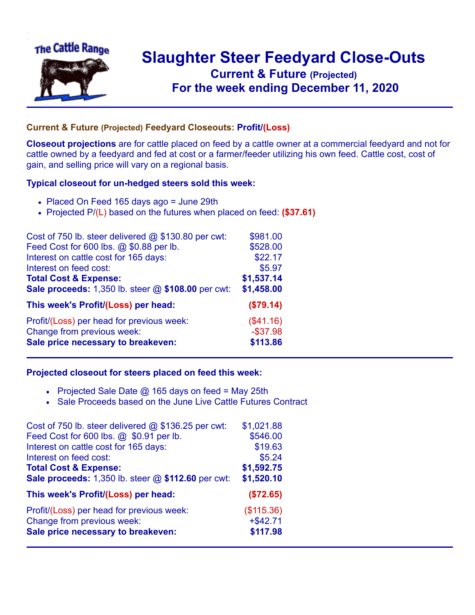

## **Slaughter Steer Feedyard Close-Outs Current & Future (Projected)** .**For the week ending December 11, 2020**

## **Current & Future (Projected) Feedyard Closeouts: Profit/(Loss)**

**Closeout projections** are for cattle placed on feed by a cattle owner at a commercial feedyard and not for cattle owned by a feedyard and fed at cost or a farmer/feeder utilizing his own feed. Cattle cost, cost of gain, and selling price will vary on a regional basis.

## **Typical closeout for un-hedged steers sold this week:**

- Placed On Feed 165 days ago = June 29th
- Projected P/(L) based on the futures when placed on feed: **(\$37.61)**

| Cost of 750 lb. steer delivered @ \$130.80 per cwt: | \$981.00    |
|-----------------------------------------------------|-------------|
| Feed Cost for 600 lbs. @ \$0.88 per lb.             | \$528.00    |
| Interest on cattle cost for 165 days:               | \$22.17     |
| Interest on feed cost:                              | \$5.97      |
| <b>Total Cost &amp; Expense:</b>                    | \$1,537.14  |
| Sale proceeds: 1,350 lb. steer @ \$108.00 per cwt:  | \$1,458.00  |
| This week's Profit/(Loss) per head:                 | (\$79.14)   |
| Profit/(Loss) per head for previous week:           | (\$41.16)   |
| Change from previous week:                          | $-$ \$37.98 |
| Sale price necessary to breakeven:                  | \$113.86    |

## **Projected closeout for steers placed on feed this week:**

- Projected Sale Date  $@$  165 days on feed = May 25th
- Sale Proceeds based on the June Live Cattle Futures Contract

| Cost of 750 lb. steer delivered $@$ \$136.25 per cwt: | \$1,021.88  |
|-------------------------------------------------------|-------------|
| Feed Cost for 600 lbs. @ \$0.91 per lb.               | \$546.00    |
| Interest on cattle cost for 165 days:                 | \$19.63     |
| Interest on feed cost:                                | \$5.24      |
| <b>Total Cost &amp; Expense:</b>                      | \$1,592.75  |
| Sale proceeds: 1,350 lb. steer @ \$112.60 per cwt:    | \$1,520.10  |
| This week's Profit/(Loss) per head:                   | (\$72.65)   |
| Profit/(Loss) per head for previous week:             | (\$115.36)  |
| Change from previous week:                            | $+$ \$42.71 |
| Sale price necessary to breakeven:                    | \$117.98    |